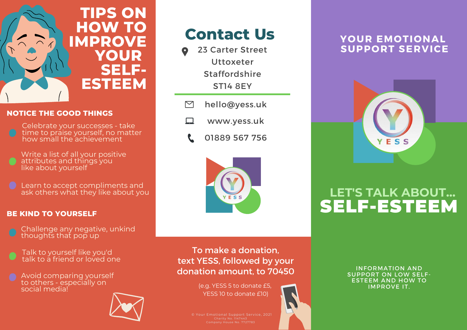

#### **NOTICE THE GOOD THINGS**

Celebrate your successes - take time to praise yourself, no matter how small the achievement

Write a list of all your positive attributes and things you like about yourself

Learn to accept compliments and ask others what they like about you

### **BE KIND TO YOURSELF**

- Challenge any negative, unkind thoughts that pop up
- Talk to yourself like you'd talk to a friend or loved one
- Avoid comparing yourself to others - especially on social media!



# **Contact Us**

- 23 Carter Street Uttoxeter Staffordshire ST14 8EY
- $\triangleright$ hello@yess.uk
- www.yess.uk □
	- 01889 567 756



### **YOUR EMOTIONAL SUPPORT SERVICE**



## **LET'S TALK ABOUT...** SELF-ESTEEM

To make a donation, text YESS, followed by your donation amount, to 70450

> (e.g. YESS 5 to donate £5, YESS 10 to donate £10)

© Your Emotional Support Service, 2021

INFORMATION AND SUPPORT ON LOW SELF- ESTEEM AND HOW TO IMPROVE IT.